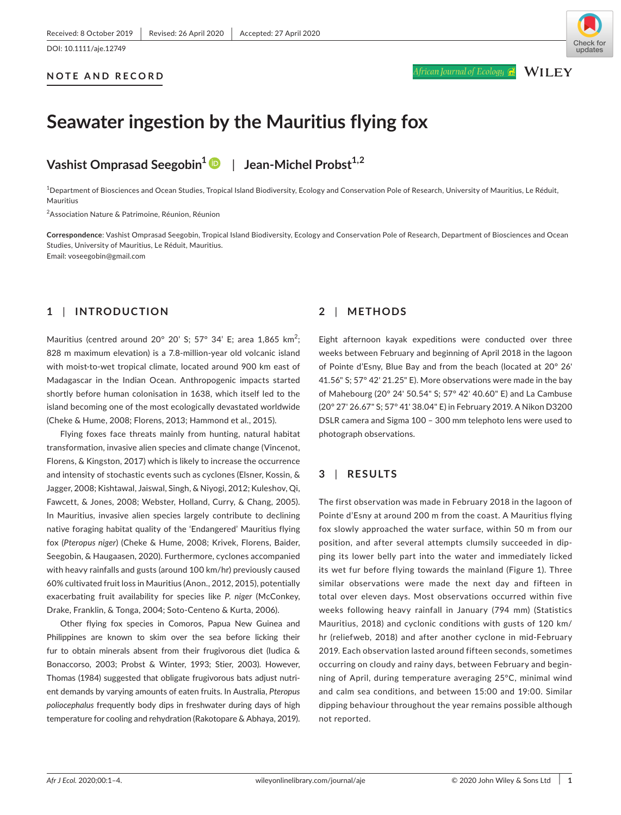#### **NOTE AND RECORD**



African Journal of Ecology <u>G</u>

**WILEY** 

# **Seawater ingestion by the Mauritius flying fox**

## **Vashist Omprasad Seegobin[1](https://orcid.org/0000-0002-6334-4105)** | **Jean-Michel Probst1,2**

1 Department of Biosciences and Ocean Studies, Tropical Island Biodiversity, Ecology and Conservation Pole of Research, University of Mauritius, Le Réduit, Mauritius

<sup>2</sup>Association Nature & Patrimoine, Réunion, Réunion

**Correspondence**: Vashist Omprasad Seegobin, Tropical Island Biodiversity, Ecology and Conservation Pole of Research, Department of Biosciences and Ocean Studies, University of Mauritius, Le Réduit, Mauritius. Email: [voseegobin@gmail.com](mailto:voseegobin@gmail.com)

## **1** | **INTRODUCTION**

Mauritius (centred around 20° 20' S; 57° 34' E; area 1,865 km<sup>2</sup>; 828 m maximum elevation) is a 7.8-million-year old volcanic island with moist-to-wet tropical climate, located around 900 km east of Madagascar in the Indian Ocean. Anthropogenic impacts started shortly before human colonisation in 1638, which itself led to the island becoming one of the most ecologically devastated worldwide (Cheke & Hume, 2008; Florens, 2013; Hammond et al., 2015).

Flying foxes face threats mainly from hunting, natural habitat transformation, invasive alien species and climate change (Vincenot, Florens, & Kingston, 2017) which is likely to increase the occurrence and intensity of stochastic events such as cyclones (Elsner, Kossin, & Jagger, 2008; Kishtawal, Jaiswal, Singh, & Niyogi, 2012; Kuleshov, Qi, Fawcett, & Jones, 2008; Webster, Holland, Curry, & Chang, 2005). In Mauritius, invasive alien species largely contribute to declining native foraging habitat quality of the 'Endangered' Mauritius flying fox (*Pteropus niger*) (Cheke & Hume, 2008; Krivek, Florens, Baider, Seegobin, & Haugaasen, 2020). Furthermore, cyclones accompanied with heavy rainfalls and gusts (around 100 km/hr) previously caused 60% cultivated fruit loss in Mauritius (Anon., 2012, 2015), potentially exacerbating fruit availability for species like *P. niger* (McConkey, Drake, Franklin, & Tonga, 2004; Soto-Centeno & Kurta, 2006).

Other flying fox species in Comoros, Papua New Guinea and Philippines are known to skim over the sea before licking their fur to obtain minerals absent from their frugivorous diet (Iudica & Bonaccorso, 2003; Probst & Winter, 1993; Stier, 2003). However, Thomas (1984) suggested that obligate frugivorous bats adjust nutrient demands by varying amounts of eaten fruits. In Australia, *Pteropus poliocephalus* frequently body dips in freshwater during days of high temperature for cooling and rehydration (Rakotopare & Abhaya, 2019).

## **2** | **METHODS**

Eight afternoon kayak expeditions were conducted over three weeks between February and beginning of April 2018 in the lagoon of Pointe d'Esny, Blue Bay and from the beach (located at 20° 26' 41.56" S; 57° 42' 21.25" E). More observations were made in the bay of Mahebourg (20° 24' 50.54" S; 57° 42' 40.60" E) and La Cambuse (20° 27' 26.67" S; 57° 41' 38.04" E) in February 2019. A Nikon D3200 DSLR camera and Sigma 100 – 300 mm telephoto lens were used to photograph observations.

### **3** | **RESULTS**

The first observation was made in February 2018 in the lagoon of Pointe d'Esny at around 200 m from the coast. A Mauritius flying fox slowly approached the water surface, within 50 m from our position, and after several attempts clumsily succeeded in dipping its lower belly part into the water and immediately licked its wet fur before flying towards the mainland (Figure 1). Three similar observations were made the next day and fifteen in total over eleven days. Most observations occurred within five weeks following heavy rainfall in January (794 mm) (Statistics Mauritius, 2018) and cyclonic conditions with gusts of 120 km/ hr (reliefweb, 2018) and after another cyclone in mid-February 2019. Each observation lasted around fifteen seconds, sometimes occurring on cloudy and rainy days, between February and beginning of April, during temperature averaging 25°C, minimal wind and calm sea conditions, and between 15:00 and 19:00. Similar dipping behaviour throughout the year remains possible although not reported.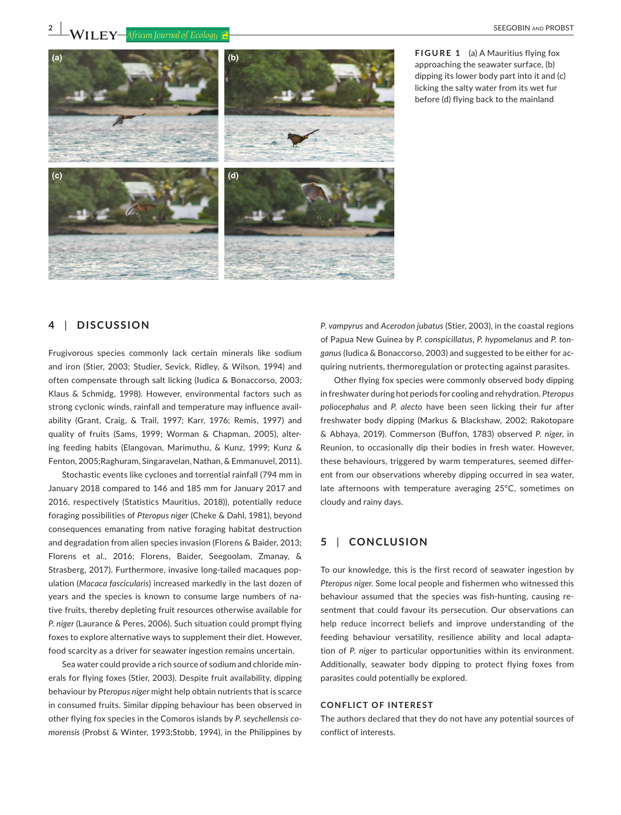**2 WILEY** *African Journal of Ecology C* 



**FIGURE 1** (a) A Mauritius flying fox approaching the seawater surface, (b) dipping its lower body part into it and (c) licking the salty water from its wet fur before (d) flying back to the mainland

## **4** | **DISCUSSION**

Frugivorous species commonly lack certain minerals like sodium and iron (Stier, 2003; Studier, Sevick, Ridley, & Wilson, 1994) and often compensate through salt licking (Iudica & Bonaccorso, 2003; Klaus & Schmidg, 1998). However, environmental factors such as strong cyclonic winds, rainfall and temperature may influence availability (Grant, Craig, & Trail, 1997; Karr, 1976; Remis, 1997) and quality of fruits (Sams, 1999; Worman & Chapman, 2005), altering feeding habits (Elangovan, Marimuthu, & Kunz, 1999; Kunz & Fenton, 2005;Raghuram, Singaravelan, Nathan, & Emmanuvel, 2011).

Stochastic events like cyclones and torrential rainfall (794 mm in January 2018 compared to 146 and 185 mm for January 2017 and 2016, respectively (Statistics Mauritius, 2018)), potentially reduce foraging possibilities of *Pteropus niger* (Cheke & Dahl, 1981), beyond consequences emanating from native foraging habitat destruction and degradation from alien species invasion (Florens & Baider, 2013; Florens et al., 2016; Florens, Baider, Seegoolam, Zmanay, & Strasberg, 2017). Furthermore, invasive long-tailed macaques population (*Macaca fascicularis*) increased markedly in the last dozen of years and the species is known to consume large numbers of native fruits, thereby depleting fruit resources otherwise available for *P. niger* (Laurance & Peres, 2006). Such situation could prompt flying foxes to explore alternative ways to supplement their diet. However, food scarcity as a driver for seawater ingestion remains uncertain.

Sea water could provide a rich source of sodium and chloride minerals for flying foxes (Stier, 2003). Despite fruit availability, dipping behaviour by *Pteropus niger* might help obtain nutrients that is scarce in consumed fruits. Similar dipping behaviour has been observed in other flying fox species in the Comoros islands by *P. seychellensis comorensis* (Probst & Winter, 1993;Stobb, 1994), in the Philippines by *P. vampyrus* and *Acerodon jubatus* (Stier, 2003), in the coastal regions of Papua New Guinea by *P. conspicillatus*, *P. hypomelanus* and *P. tonganus* (Iudica & Bonaccorso, 2003) and suggested to be either for acquiring nutrients, thermoregulation or protecting against parasites.

Other flying fox species were commonly observed body dipping in freshwater during hot periods for cooling and rehydration. *Pteropus poliocephalus* and *P. alecto* have been seen licking their fur after freshwater body dipping (Markus & Blackshaw, 2002; Rakotopare & Abhaya, 2019). Commerson (Buffon, 1783) observed *P. niger*, in Reunion, to occasionally dip their bodies in fresh water. However, these behaviours, triggered by warm temperatures, seemed different from our observations whereby dipping occurred in sea water, late afternoons with temperature averaging 25°C, sometimes on cloudy and rainy days.

#### **5** | **CONCLUSION**

To our knowledge, this is the first record of seawater ingestion by *Pteropus niger*. Some local people and fishermen who witnessed this behaviour assumed that the species was fish-hunting, causing resentment that could favour its persecution. Our observations can help reduce incorrect beliefs and improve understanding of the feeding behaviour versatility, resilience ability and local adaptation of *P. niger* to particular opportunities within its environment. Additionally, seawater body dipping to protect flying foxes from parasites could potentially be explored.

#### **CONFLICT OF INTEREST**

The authors declared that they do not have any potential sources of conflict of interests.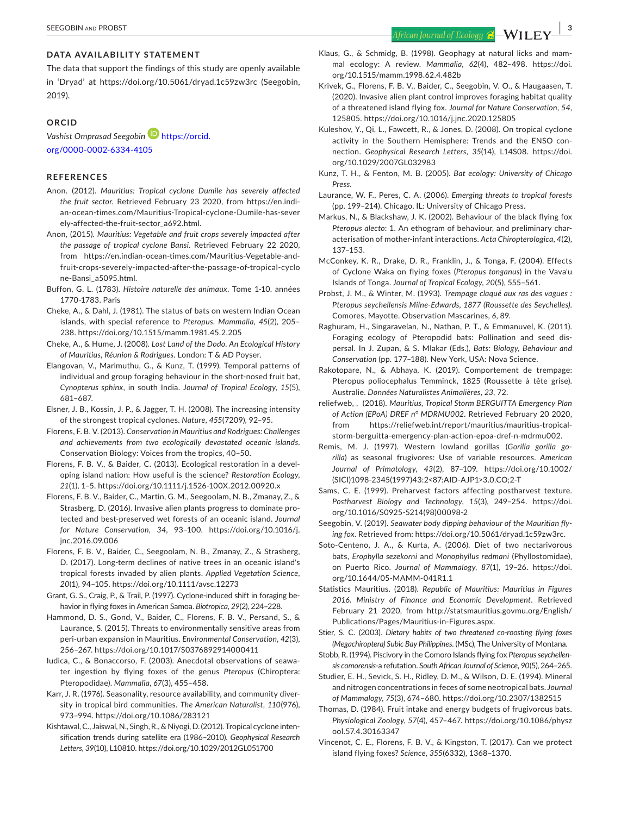## **DATA AVAILABILITY STATEMENT**

The data that support the findings of this study are openly available in 'Dryad' at <https://doi.org/10.5061/dryad.1c59zw3rc>(Seegobin, 2019).

#### **ORCID**

*Vashist Omprasad Seegobin* [https://orcid.](https://orcid.org/0000-0002-6334-4105) [org/0000-0002-6334-4105](https://orcid.org/0000-0002-6334-4105)

#### **REFERENCES**

- Anon. (2012). *Mauritius: Tropical cyclone Dumile has severely affected the fruit sector*. Retrieved February 23 2020, from [https://en.indi](https://en.indian-ocean-times.com/Mauritius-Tropical-cyclone-Dumile-has-severely-affected-the-fruit-sector_a692.html)[an-ocean-times.com/Mauritius-Tropical-cyclone-Dumile-has-sever](https://en.indian-ocean-times.com/Mauritius-Tropical-cyclone-Dumile-has-severely-affected-the-fruit-sector_a692.html) [ely-affected-the-fruit-sector\\_a692.html.](https://en.indian-ocean-times.com/Mauritius-Tropical-cyclone-Dumile-has-severely-affected-the-fruit-sector_a692.html)
- Anon, (2015). *Mauritius: Vegetable and fruit crops severely impacted after the passage of tropical cyclone Bansi*. Retrieved February 22 2020, from [https://en.indian-ocean-times.com/Mauritius-Vegetable-and](https://en.indian-ocean-times.com/Mauritius-Vegetable-and-fruit-crops-severely-impacted-after-the-passage-of-tropical-cyclone-Bansi_a5095.html)[fruit-crops-severely-impacted-after-the-passage-of-tropical-cyclo](https://en.indian-ocean-times.com/Mauritius-Vegetable-and-fruit-crops-severely-impacted-after-the-passage-of-tropical-cyclone-Bansi_a5095.html) [ne-Bansi\\_a5095.html.](https://en.indian-ocean-times.com/Mauritius-Vegetable-and-fruit-crops-severely-impacted-after-the-passage-of-tropical-cyclone-Bansi_a5095.html)
- Buffon, G. L. (1783). *Histoire naturelle des animaux*. Tome 1-10. années 1770-1783. Paris
- Cheke, A., & Dahl, J. (1981). The status of bats on western Indian Ocean islands, with special reference to *Pteropus*. *Mammalia*, *45*(2), 205– 238. <https://doi.org/10.1515/mamm.1981.45.2.205>
- Cheke, A., & Hume, J. (2008). *Lost Land of the Dodo. An Ecological History of Mauritius, Réunion & Rodrigues*. London: T & AD Poyser.
- Elangovan, V., Marimuthu, G., & Kunz, T. (1999). Temporal patterns of individual and group foraging behaviour in the short-nosed fruit bat, *Cynopterus sphinx*, in south India. *Journal of Tropical Ecology*, *15*(5), 681–687.
- Elsner, J. B., Kossin, J. P., & Jagger, T. H. (2008). The increasing intensity of the strongest tropical cyclones. *Nature*, *455*(7209), 92–95.
- Florens, F. B. V. (2013). *Conservation in Mauritius and Rodrigues: Challenges and achievements from two ecologically devastated oceanic islands*. Conservation Biology: Voices from the tropics, 40–50.
- Florens, F. B. V., & Baider, C. (2013). Ecological restoration in a developing island nation: How useful is the science? *Restoration Ecology*, *21*(1), 1–5.<https://doi.org/10.1111/j.1526-100X.2012.00920.x>
- Florens, F. B. V., Baider, C., Martin, G. M., Seegoolam, N. B., Zmanay, Z., & Strasberg, D. (2016). Invasive alien plants progress to dominate protected and best-preserved wet forests of an oceanic island. *Journal for Nature Conservation*, *34*, 93–100. [https://doi.org/10.1016/j.](https://doi.org/10.1016/j.jnc.2016.09.006) [jnc.2016.09.006](https://doi.org/10.1016/j.jnc.2016.09.006)
- Florens, F. B. V., Baider, C., Seegoolam, N. B., Zmanay, Z., & Strasberg, D. (2017). Long-term declines of native trees in an oceanic island's tropical forests invaded by alien plants. *Applied Vegetation Science*, *20*(1), 94–105. <https://doi.org/10.1111/avsc.12273>
- Grant, G. S., Craig, P., & Trail, P. (1997). Cyclone-induced shift in foraging behavior in flying foxes in American Samoa. *Biotropica*, *29*(2), 224–228.
- Hammond, D. S., Gond, V., Baider, C., Florens, F. B. V., Persand, S., & Laurance, S. (2015). Threats to environmentally sensitive areas from peri-urban expansion in Mauritius. *Environmental Conservation*, *42*(3), 256–267. <https://doi.org/10.1017/S0376892914000411>
- Iudica, C., & Bonaccorso, F. (2003). Anecdotal observations of seawater ingestion by flying foxes of the genus *Pteropus* (Chiroptera: Pteropodidae). *Mammalia*, *67*(3), 455–458.
- Karr, J. R. (1976). Seasonality, resource availability, and community diversity in tropical bird communities. *The American Naturalist*, *110*(976), 973–994. <https://doi.org/10.1086/283121>
- Kishtawal, C., Jaiswal, N., Singh, R., & Niyogi, D. (2012). Tropical cyclone intensification trends during satellite era (1986–2010). *Geophysical Research Letters*, *39*(10), L10810.<https://doi.org/10.1029/2012GL051700>
- Klaus, G., & Schmidg, B. (1998). Geophagy at natural licks and mammal ecology: A review. *Mammalia*, *62*(4), 482–498. [https://doi.](https://doi.org/10.1515/mamm.1998.62.4.482b) [org/10.1515/mamm.1998.62.4.482b](https://doi.org/10.1515/mamm.1998.62.4.482b)
- Krivek, G., Florens, F. B. V., Baider, C., Seegobin, V. O., & Haugaasen, T. (2020). Invasive alien plant control improves foraging habitat quality of a threatened island flying fox. *Journal for Nature Conservation*, *54*, 125805.<https://doi.org/10.1016/j.jnc.2020.125805>
- Kuleshov, Y., Qi, L., Fawcett, R., & Jones, D. (2008). On tropical cyclone activity in the Southern Hemisphere: Trends and the ENSO connection. *Geophysical Research Letters*, *35*(14), L14S08. [https://doi.](https://doi.org/10.1029/2007GL032983) [org/10.1029/2007GL032983](https://doi.org/10.1029/2007GL032983)
- Kunz, T. H., & Fenton, M. B. (2005). *Bat ecology: University of Chicago Press*.
- Laurance, W. F., Peres, C. A. (2006). *Emerging threats to tropical forests* (pp. 199–214). Chicago, IL: University of Chicago Press.
- Markus, N., & Blackshaw, J. K. (2002). Behaviour of the black flying fox *Pteropus alecto*: 1. An ethogram of behaviour, and preliminary characterisation of mother-infant interactions. *Acta Chiropterologica*, *4*(2), 137–153.
- McConkey, K. R., Drake, D. R., Franklin, J., & Tonga, F. (2004). Effects of Cyclone Waka on flying foxes (*Pteropus tonganus*) in the Vava'u Islands of Tonga. *Journal of Tropical Ecology*, *20*(5), 555–561.
- Probst, J. M., & Winter, M. (1993). *Trempage claqué aux ras des vagues : Pteropus seychellensis Milne-Edwards, 1877 (Roussette des Seychelles)*. Comores, Mayotte. Observation Mascarines, *6*, 89.
- Raghuram, H., Singaravelan, N., Nathan, P. T., & Emmanuvel, K. (2011). Foraging ecology of Pteropodid bats: Pollination and seed dispersal. In J. Zupan, & S. Mlakar (Eds.), *Bats: Biology, Behaviour and Conservation* (pp. 177–188). New York, USA: Nova Science.
- Rakotopare, N., & Abhaya, K. (2019). Comportement de trempage: Pteropus poliocephalus Temminck, 1825 (Roussette à tête grise). Australie. *Données Naturalistes Animalières*, *23*, 72.
- reliefweb, , (2018). *Mauritius, Tropical Storm BERGUITTA Emergency Plan of Action (EPoA) DREF n° MDRMU002*. Retrieved February 20 2020, from [https://reliefweb.int/report/mauritius/mauritius-tropical](https://reliefweb.int/report/mauritius/mauritius-tropical-storm-berguitta-emergency-plan-action-epoa-dref-n-mdrmu002)[storm-berguitta-emergency-plan-action-epoa-dref-n-mdrmu002.](https://reliefweb.int/report/mauritius/mauritius-tropical-storm-berguitta-emergency-plan-action-epoa-dref-n-mdrmu002)
- Remis, M. J. (1997). Western lowland gorillas (*Gorilla gorilla gorilla*) as seasonal frugivores: Use of variable resources. *American Journal of Primatology*, *43*(2), 87–109. [https://doi.org/10.1002/](https://doi.org/10.1002/(SICI)1098-2345(1997)43:2%3C87:AID-AJP1%3E3.0.CO;2-T) [\(SICI\)1098-2345\(1997\)43:2<87:AID-AJP1>3.0.CO;2-T](https://doi.org/10.1002/(SICI)1098-2345(1997)43:2%3C87:AID-AJP1%3E3.0.CO;2-T)
- Sams, C. E. (1999). Preharvest factors affecting postharvest texture. *Postharvest Biology and Technology*, *15*(3), 249–254. [https://doi.](https://doi.org/10.1016/S0925-5214(98)00098-2) [org/10.1016/S0925-5214\(98\)00098-2](https://doi.org/10.1016/S0925-5214(98)00098-2)
- Seegobin, V. (2019). *Seawater body dipping behaviour of the Mauritian flying fox*. Retrieved from: [https://doi.org/10.5061/dryad.1c59zw3rc.](https://doi.org/10.5061/dryad.1c59zw3rc)
- Soto-Centeno, J. A., & Kurta, A. (2006). Diet of two nectarivorous bats, *Erophylla sezekorni* and *Monophyllus redmani* (Phyllostomidae), on Puerto Rico. *Journal of Mammalogy*, *87*(1), 19–26. [https://doi.](https://doi.org/10.1644/05-MAMM-041R1.1) [org/10.1644/05-MAMM-041R1.1](https://doi.org/10.1644/05-MAMM-041R1.1)
- Statistics Mauritius. (2018). *Republic of Mauritius: Mauritius in Figures 2016. Ministry of Finance and Economic Development*. Retrieved February 21 2020, from [http://statsmauritius.govmu.org/English/](http://statsmauritius.govmu.org/English/Publications/Pages/Mauritius-in-Figures.aspx) [Publications/Pages/Mauritius-in-Figures.aspx](http://statsmauritius.govmu.org/English/Publications/Pages/Mauritius-in-Figures.aspx).
- Stier, S. C. (2003). *Dietary habits of two threatened co-roosting flying foxes (Megachiroptera) Subic Bay Philippines*. (MSc), The University of Montana.
- Stobb, R. (1994). Piscivory in the Comoro Islands flying fox *Pteropus seychellensis comorensis*-a refutation. *South African Journal of Science*, *90*(5), 264–265.
- Studier, E. H., Sevick, S. H., Ridley, D. M., & Wilson, D. E. (1994). Mineral and nitrogen concentrations in feces of some neotropical bats. *Journal of Mammalogy*, *75*(3), 674–680. <https://doi.org/10.2307/1382515>
- Thomas, D. (1984). Fruit intake and energy budgets of frugivorous bats. *Physiological Zoology*, *57*(4), 457–467. [https://doi.org/10.1086/physz](https://doi.org/10.1086/physzool.57.4.30163347) [ool.57.4.30163347](https://doi.org/10.1086/physzool.57.4.30163347)
- Vincenot, C. E., Florens, F. B. V., & Kingston, T. (2017). Can we protect island flying foxes? *Science*, *355*(6332), 1368–1370.